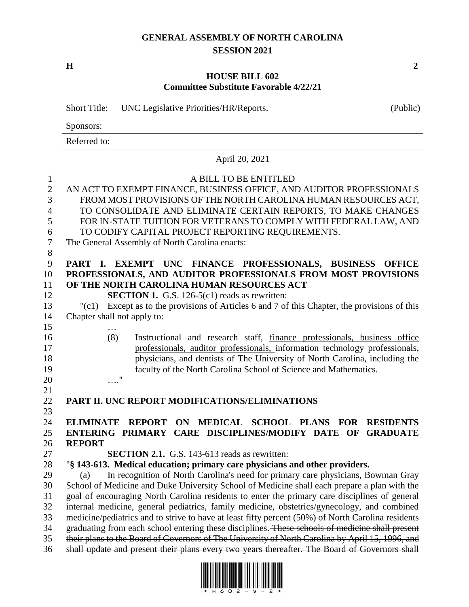## **GENERAL ASSEMBLY OF NORTH CAROLINA SESSION 2021**

**H 2**

## **HOUSE BILL 602 Committee Substitute Favorable 4/22/21**

|                                                                        | <b>Short Title:</b><br>UNC Legislative Priorities/HR/Reports.                                                                                                                                                                                                                                                                                                                                                 | (Public)                            |
|------------------------------------------------------------------------|---------------------------------------------------------------------------------------------------------------------------------------------------------------------------------------------------------------------------------------------------------------------------------------------------------------------------------------------------------------------------------------------------------------|-------------------------------------|
|                                                                        | Sponsors:                                                                                                                                                                                                                                                                                                                                                                                                     |                                     |
|                                                                        | Referred to:                                                                                                                                                                                                                                                                                                                                                                                                  |                                     |
|                                                                        | April 20, 2021                                                                                                                                                                                                                                                                                                                                                                                                |                                     |
| 1<br>$\mathbf{2}$<br>3<br>$\overline{4}$<br>5<br>6<br>$\boldsymbol{7}$ | A BILL TO BE ENTITLED<br>AN ACT TO EXEMPT FINANCE, BUSINESS OFFICE, AND AUDITOR PROFESSIONALS<br>FROM MOST PROVISIONS OF THE NORTH CAROLINA HUMAN RESOURCES ACT,<br>TO CONSOLIDATE AND ELIMINATE CERTAIN REPORTS, TO MAKE CHANGES<br>FOR IN-STATE TUITION FOR VETERANS TO COMPLY WITH FEDERAL LAW, AND<br>TO CODIFY CAPITAL PROJECT REPORTING REQUIREMENTS.<br>The General Assembly of North Carolina enacts: |                                     |
| $8\,$<br>9<br>10<br>11<br>12<br>13<br>14<br>15                         | PART I. EXEMPT UNC FINANCE PROFESSIONALS, BUSINESS<br>PROFESSIONALS, AND AUDITOR PROFESSIONALS FROM MOST PROVISIONS<br>OF THE NORTH CAROLINA HUMAN RESOURCES ACT<br><b>SECTION 1.</b> G.S. 126-5(c1) reads as rewritten:<br>"(c1) Except as to the provisions of Articles 6 and 7 of this Chapter, the provisions of this<br>Chapter shall not apply to:                                                      | <b>OFFICE</b>                       |
| 16<br>17<br>18<br>19<br>20                                             | (8)<br>Instructional and research staff, finance professionals, business office<br>professionals, auditor professionals, information technology professionals,<br>physicians, and dentists of The University of North Carolina, including the<br>faculty of the North Carolina School of Science and Mathematics.<br>$^{\prime\prime}$                                                                        |                                     |
| 21<br>22                                                               | PART II. UNC REPORT MODIFICATIONS/ELIMINATIONS                                                                                                                                                                                                                                                                                                                                                                |                                     |
| 23<br>24<br>25<br>26                                                   | ON MEDICAL SCHOOL PLANS<br><b>ELIMINATE</b><br><b>REPORT</b><br><b>FOR</b><br>ENTERING PRIMARY CARE DISCIPLINES/MODIFY DATE OF<br><b>REPORT</b>                                                                                                                                                                                                                                                               | <b>RESIDENTS</b><br><b>GRADUATE</b> |
| 27                                                                     | <b>SECTION 2.1.</b> G.S. 143-613 reads as rewritten:                                                                                                                                                                                                                                                                                                                                                          |                                     |
| 28                                                                     | "§ 143-613. Medical education; primary care physicians and other providers.                                                                                                                                                                                                                                                                                                                                   |                                     |
| 29                                                                     | In recognition of North Carolina's need for primary care physicians, Bowman Gray<br>(a)                                                                                                                                                                                                                                                                                                                       |                                     |
| 30                                                                     | School of Medicine and Duke University School of Medicine shall each prepare a plan with the                                                                                                                                                                                                                                                                                                                  |                                     |
| 31                                                                     | goal of encouraging North Carolina residents to enter the primary care disciplines of general                                                                                                                                                                                                                                                                                                                 |                                     |
| 32<br>33                                                               | internal medicine, general pediatrics, family medicine, obstetrics/gynecology, and combined<br>medicine/pediatrics and to strive to have at least fifty percent (50%) of North Carolina residents                                                                                                                                                                                                             |                                     |
| 34                                                                     | graduating from each school entering these disciplines. These schools of medicine shall present                                                                                                                                                                                                                                                                                                               |                                     |
| 35                                                                     | their plans to the Board of Governors of The University of North Carolina by April 15, 1996, and                                                                                                                                                                                                                                                                                                              |                                     |
| 36                                                                     | shall update and present their plans every two years thereafter. The Board of Governors shall                                                                                                                                                                                                                                                                                                                 |                                     |

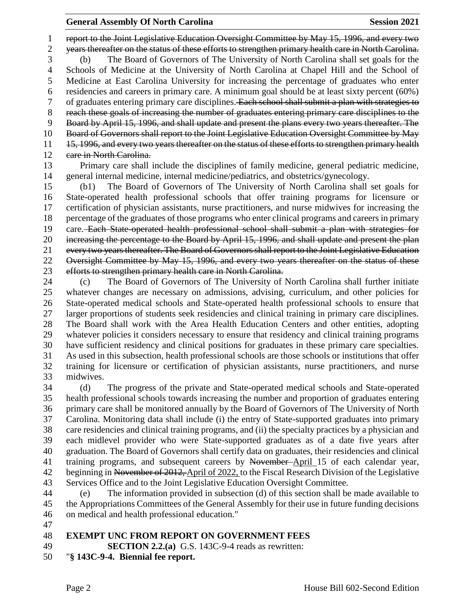report to the Joint Legislative Education Oversight Committee by May 15, 1996, and every two years thereafter on the status of these efforts to strengthen primary health care in North Carolina. (b) The Board of Governors of The University of North Carolina shall set goals for the Schools of Medicine at the University of North Carolina at Chapel Hill and the School of Medicine at East Carolina University for increasing the percentage of graduates who enter residencies and careers in primary care. A minimum goal should be at least sixty percent (60%) 7 of graduates entering primary care disciplines. Each school shall submit a plan with strategies to reach these goals of increasing the number of graduates entering primary care disciplines to the Board by April 15, 1996, and shall update and present the plans every two years thereafter. The Board of Governors shall report to the Joint Legislative Education Oversight Committee by May 11 15, 1996, and every two years thereafter on the status of these efforts to strengthen primary health 12 eare in North Carolina.

 Primary care shall include the disciplines of family medicine, general pediatric medicine, general internal medicine, internal medicine/pediatrics, and obstetrics/gynecology.

 (b1) The Board of Governors of The University of North Carolina shall set goals for State-operated health professional schools that offer training programs for licensure or certification of physician assistants, nurse practitioners, and nurse midwives for increasing the percentage of the graduates of those programs who enter clinical programs and careers in primary care. Each State-operated health professional school shall submit a plan with strategies for 20 increasing the percentage to the Board by April 15, 1996, and shall update and present the plan every two years thereafter. The Board of Governors shall report to the Joint Legislative Education Oversight Committee by May 15, 1996, and every two years thereafter on the status of these efforts to strengthen primary health care in North Carolina.

 (c) The Board of Governors of The University of North Carolina shall further initiate whatever changes are necessary on admissions, advising, curriculum, and other policies for State-operated medical schools and State-operated health professional schools to ensure that larger proportions of students seek residencies and clinical training in primary care disciplines. The Board shall work with the Area Health Education Centers and other entities, adopting whatever policies it considers necessary to ensure that residency and clinical training programs have sufficient residency and clinical positions for graduates in these primary care specialties. As used in this subsection, health professional schools are those schools or institutions that offer training for licensure or certification of physician assistants, nurse practitioners, and nurse midwives.

 (d) The progress of the private and State-operated medical schools and State-operated health professional schools towards increasing the number and proportion of graduates entering primary care shall be monitored annually by the Board of Governors of The University of North Carolina. Monitoring data shall include (i) the entry of State-supported graduates into primary care residencies and clinical training programs, and (ii) the specialty practices by a physician and each midlevel provider who were State-supported graduates as of a date five years after graduation. The Board of Governors shall certify data on graduates, their residencies and clinical training programs, and subsequent careers by November April 15 of each calendar year, 42 beginning in November of 2012, April of 2022, to the Fiscal Research Division of the Legislative Services Office and to the Joint Legislative Education Oversight Committee.

 (e) The information provided in subsection (d) of this section shall be made available to the Appropriations Committees of the General Assembly for their use in future funding decisions on medical and health professional education."

## **EXEMPT UNC FROM REPORT ON GOVERNMENT FEES**

**SECTION 2.2.(a)** G.S. 143C-9-4 reads as rewritten:

"**§ 143C-9-4. Biennial fee report.**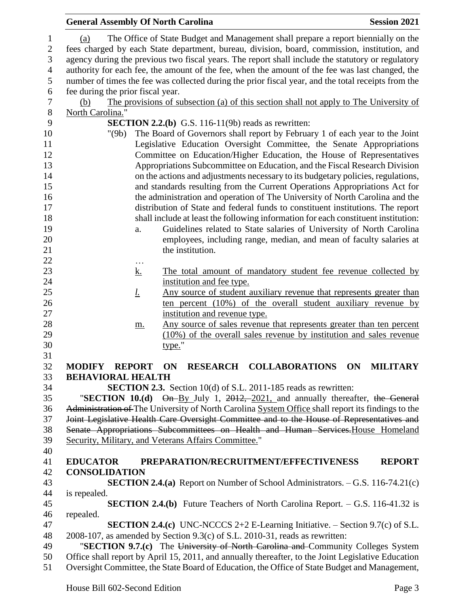|                | <b>General Assembly Of North Carolina</b>                                                    |                       |                                                                                                     | <b>Session 2021</b> |
|----------------|----------------------------------------------------------------------------------------------|-----------------------|-----------------------------------------------------------------------------------------------------|---------------------|
| $\mathbf{1}$   | (a)                                                                                          |                       | The Office of State Budget and Management shall prepare a report biennially on the                  |                     |
| $\overline{2}$ | fees charged by each State department, bureau, division, board, commission, institution, and |                       |                                                                                                     |                     |
| 3              |                                                                                              |                       | agency during the previous two fiscal years. The report shall include the statutory or regulatory   |                     |
| $\overline{4}$ |                                                                                              |                       | authority for each fee, the amount of the fee, when the amount of the fee was last changed, the     |                     |
| 5              |                                                                                              |                       | number of times the fee was collected during the prior fiscal year, and the total receipts from the |                     |
| 6              | fee during the prior fiscal year.                                                            |                       |                                                                                                     |                     |
| 7              | (b)                                                                                          |                       | The provisions of subsection (a) of this section shall not apply to The University of               |                     |
| $8\phantom{1}$ |                                                                                              |                       |                                                                                                     |                     |
| 9              | North Carolina."<br><b>SECTION 2.2.(b)</b> G.S. 116-11(9b) reads as rewritten:               |                       |                                                                                                     |                     |
| 10             | "(9b)                                                                                        |                       | The Board of Governors shall report by February 1 of each year to the Joint                         |                     |
| 11             |                                                                                              |                       | Legislative Education Oversight Committee, the Senate Appropriations                                |                     |
| 12             |                                                                                              |                       | Committee on Education/Higher Education, the House of Representatives                               |                     |
| 13             |                                                                                              |                       | Appropriations Subcommittee on Education, and the Fiscal Research Division                          |                     |
| 14             |                                                                                              |                       | on the actions and adjustments necessary to its budgetary policies, regulations,                    |                     |
| 15             |                                                                                              |                       | and standards resulting from the Current Operations Appropriations Act for                          |                     |
| 16             |                                                                                              |                       | the administration and operation of The University of North Carolina and the                        |                     |
| 17             |                                                                                              |                       | distribution of State and federal funds to constituent institutions. The report                     |                     |
| 18             |                                                                                              |                       | shall include at least the following information for each constituent institution:                  |                     |
| 19             |                                                                                              | a.                    | Guidelines related to State salaries of University of North Carolina                                |                     |
| 20             |                                                                                              |                       | employees, including range, median, and mean of faculty salaries at                                 |                     |
| 21             |                                                                                              |                       | the institution.                                                                                    |                     |
| 22             |                                                                                              |                       |                                                                                                     |                     |
| 23             |                                                                                              | $\cdots$<br><u>k.</u> | The total amount of mandatory student fee revenue collected by                                      |                     |
| 24             |                                                                                              |                       | institution and fee type.                                                                           |                     |
| 25             |                                                                                              | <u>l.</u>             | Any source of student auxiliary revenue that represents greater than                                |                     |
| 26             |                                                                                              |                       | ten percent (10%) of the overall student auxiliary revenue by                                       |                     |
| 27             |                                                                                              |                       | institution and revenue type.                                                                       |                     |
| 28             |                                                                                              | m.                    | <u>Any source of sales revenue that represents greater than ten percent</u>                         |                     |
| 29             |                                                                                              |                       | (10%) of the overall sales revenue by institution and sales revenue                                 |                     |
| 30             |                                                                                              |                       | type."                                                                                              |                     |
| 31             |                                                                                              |                       |                                                                                                     |                     |
| 32             |                                                                                              |                       | MODIFY REPORT ON RESEARCH COLLABORATIONS ON                                                         | <b>MILITARY</b>     |
| 33             | <b>BEHAVIORAL HEALTH</b>                                                                     |                       |                                                                                                     |                     |
| 34             |                                                                                              |                       | <b>SECTION 2.3.</b> Section 10(d) of S.L. 2011-185 reads as rewritten:                              |                     |
| 35             |                                                                                              |                       | "SECTION 10.(d) On-By July 1, 2012, 2021, and annually thereafter, the General                      |                     |
| 36             |                                                                                              |                       | Administration of The University of North Carolina System Office shall report its findings to the   |                     |
| 37             |                                                                                              |                       | Joint Legislative Health Care Oversight Committee and to the House of Representatives and           |                     |
| 38             |                                                                                              |                       | Senate Appropriations Subcommittees on Health and Human Services-House Homeland                     |                     |
| 39             |                                                                                              |                       | Security, Military, and Veterans Affairs Committee."                                                |                     |
| 40             |                                                                                              |                       |                                                                                                     |                     |
| 41             | <b>EDUCATOR</b>                                                                              |                       | PREPARATION/RECRUITMENT/EFFECTIVENESS                                                               | <b>REPORT</b>       |
| 42             | <b>CONSOLIDATION</b>                                                                         |                       |                                                                                                     |                     |
| 43             |                                                                                              |                       | <b>SECTION 2.4.(a)</b> Report on Number of School Administrators. $-$ G.S. 116-74.21(c)             |                     |
| 44             | is repealed.                                                                                 |                       |                                                                                                     |                     |
| 45             |                                                                                              |                       | <b>SECTION 2.4.(b)</b> Future Teachers of North Carolina Report. $-$ G.S. 116-41.32 is              |                     |
| 46             | repealed.                                                                                    |                       |                                                                                                     |                     |
| 47             |                                                                                              |                       | <b>SECTION 2.4.(c)</b> UNC-NCCCS 2+2 E-Learning Initiative. $-$ Section 9.7(c) of S.L.              |                     |
| 48             |                                                                                              |                       | 2008-107, as amended by Section 9.3(c) of S.L. 2010-31, reads as rewritten:                         |                     |
| 49             |                                                                                              |                       | "SECTION 9.7.(c) The University of North Carolina and Community Colleges System                     |                     |
| 50             |                                                                                              |                       | Office shall report by April 15, 2011, and annually thereafter, to the Joint Legislative Education  |                     |
| 51             |                                                                                              |                       | Oversight Committee, the State Board of Education, the Office of State Budget and Management,       |                     |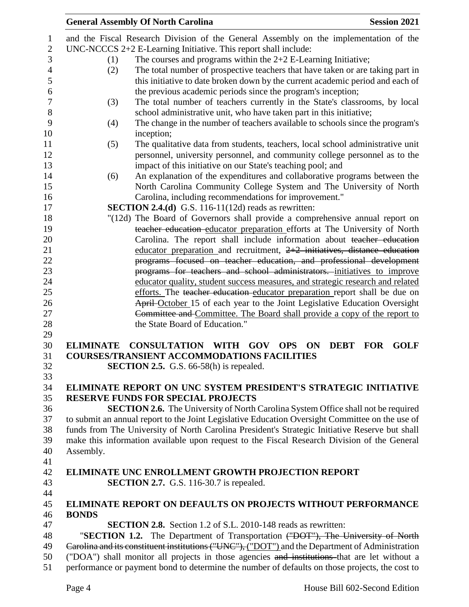|                          |                  | <b>General Assembly Of North Carolina</b>                                                                                                                                                      | <b>Session 2021</b>                                                 |
|--------------------------|------------------|------------------------------------------------------------------------------------------------------------------------------------------------------------------------------------------------|---------------------------------------------------------------------|
| $\mathbf{1}$             |                  | and the Fiscal Research Division of the General Assembly on the implementation of the                                                                                                          |                                                                     |
| $\mathbf{2}$             |                  | $UNC-NCCCS 2+2 E-Learning Initiative. This report shall include:$                                                                                                                              |                                                                     |
| 3                        | (1)              | The courses and programs within the $2+2$ E-Learning Initiative;                                                                                                                               |                                                                     |
| $\overline{\mathcal{L}}$ | (2)              | The total number of prospective teachers that have taken or are taking part in                                                                                                                 |                                                                     |
| $\mathfrak{S}$           |                  | this initiative to date broken down by the current academic period and each of                                                                                                                 |                                                                     |
| 6                        |                  | the previous academic periods since the program's inception;                                                                                                                                   |                                                                     |
| $\boldsymbol{7}$         | (3)              | The total number of teachers currently in the State's classrooms, by local                                                                                                                     |                                                                     |
| 8                        |                  | school administrative unit, who have taken part in this initiative;                                                                                                                            |                                                                     |
| 9                        | (4)              | The change in the number of teachers available to schools since the program's                                                                                                                  |                                                                     |
| 10                       |                  | inception;                                                                                                                                                                                     |                                                                     |
| 11                       | (5)              | The qualitative data from students, teachers, local school administrative unit                                                                                                                 |                                                                     |
| 12                       |                  | personnel, university personnel, and community college personnel as to the                                                                                                                     |                                                                     |
| 13                       |                  | impact of this initiative on our State's teaching pool; and                                                                                                                                    |                                                                     |
| 14                       | (6)              | An explanation of the expenditures and collaborative programs between the                                                                                                                      |                                                                     |
| 15                       |                  | North Carolina Community College System and The University of North                                                                                                                            |                                                                     |
| 16                       |                  | Carolina, including recommendations for improvement."                                                                                                                                          |                                                                     |
| 17                       |                  | <b>SECTION 2.4.(d)</b> G.S. 116-11(12d) reads as rewritten:                                                                                                                                    |                                                                     |
| 18                       |                  | "(12d) The Board of Governors shall provide a comprehensive annual report on                                                                                                                   |                                                                     |
| 19                       |                  | teacher education educator preparation efforts at The University of North                                                                                                                      |                                                                     |
| 20                       |                  | Carolina. The report shall include information about teacher education                                                                                                                         |                                                                     |
| 21                       |                  | educator preparation and recruitment, $2+2$ initiatives, distance education                                                                                                                    |                                                                     |
| 22                       |                  | programs focused on teacher education, and professional development                                                                                                                            |                                                                     |
| 23                       |                  | programs for teachers and school administrators. initiatives to improve                                                                                                                        |                                                                     |
| 24                       |                  | educator quality, student success measures, and strategic research and related                                                                                                                 |                                                                     |
| 25                       |                  | efforts. The teacher education educator preparation report shall be due on                                                                                                                     |                                                                     |
| 26                       |                  | April-October 15 of each year to the Joint Legislative Education Oversight                                                                                                                     |                                                                     |
| 27                       |                  | Committee and Committee. The Board shall provide a copy of the report to                                                                                                                       |                                                                     |
| 28                       |                  | the State Board of Education."                                                                                                                                                                 |                                                                     |
| 29                       |                  |                                                                                                                                                                                                |                                                                     |
| 30                       | <b>ELIMINATE</b> | <b>CONSULTATION WITH</b><br><b>GOV</b>                                                                                                                                                         | <b>DEBT</b><br><b>GOLF</b><br><b>OPS</b><br><b>ON</b><br><b>FOR</b> |
| 31                       |                  | <b>COURSES/TRANSIENT ACCOMMODATIONS FACILITIES</b>                                                                                                                                             |                                                                     |
| 32                       |                  | <b>SECTION 2.5.</b> G.S. 66-58(h) is repealed.                                                                                                                                                 |                                                                     |
| 33                       |                  |                                                                                                                                                                                                |                                                                     |
| 34                       |                  | ELIMINATE REPORT ON UNC SYSTEM PRESIDENT'S STRATEGIC INITIATIVE                                                                                                                                |                                                                     |
| 35                       |                  | <b>RESERVE FUNDS FOR SPECIAL PROJECTS</b>                                                                                                                                                      |                                                                     |
| 36                       |                  | <b>SECTION 2.6.</b> The University of North Carolina System Office shall not be required                                                                                                       |                                                                     |
| 37                       |                  | to submit an annual report to the Joint Legislative Education Oversight Committee on the use of                                                                                                |                                                                     |
| 38                       |                  | funds from The University of North Carolina President's Strategic Initiative Reserve but shall                                                                                                 |                                                                     |
| 39                       |                  | make this information available upon request to the Fiscal Research Division of the General                                                                                                    |                                                                     |
| 40                       | Assembly.        |                                                                                                                                                                                                |                                                                     |
| 41                       |                  |                                                                                                                                                                                                |                                                                     |
| 42                       |                  | <b>ELIMINATE UNC ENROLLMENT GROWTH PROJECTION REPORT</b>                                                                                                                                       |                                                                     |
| 43                       |                  | <b>SECTION 2.7.</b> G.S. 116-30.7 is repealed.                                                                                                                                                 |                                                                     |
| 44                       |                  |                                                                                                                                                                                                |                                                                     |
| 45                       |                  | ELIMINATE REPORT ON DEFAULTS ON PROJECTS WITHOUT PERFORMANCE                                                                                                                                   |                                                                     |
| 46                       | <b>BONDS</b>     |                                                                                                                                                                                                |                                                                     |
| 47                       |                  | <b>SECTION 2.8.</b> Section 1.2 of S.L. 2010-148 reads as rewritten:                                                                                                                           |                                                                     |
| 48                       |                  | "SECTION 1.2. The Department of Transportation ("DOT"), The University of North                                                                                                                |                                                                     |
| 49                       |                  | Carolina and its constituent institutions ("UNC"), ("DOT") and the Department of Administration                                                                                                |                                                                     |
| 50<br>51                 |                  | ("DOA") shall monitor all projects in those agencies and institutions that are let without a<br>performance or payment bond to determine the number of defaults on those projects, the cost to |                                                                     |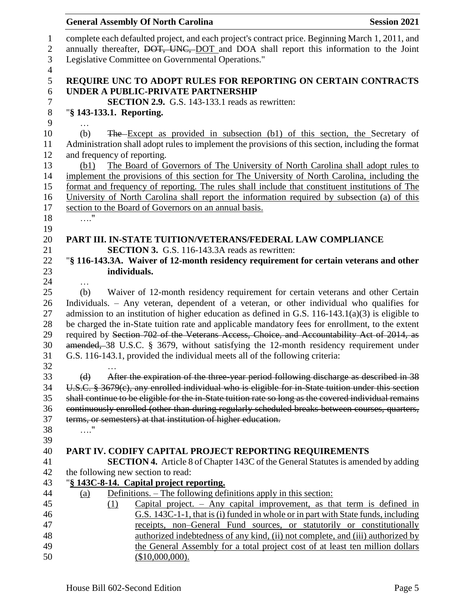| <b>General Assembly Of North Carolina</b>                                    | <b>Session 2021</b>                                                                                                                                                                       |
|------------------------------------------------------------------------------|-------------------------------------------------------------------------------------------------------------------------------------------------------------------------------------------|
|                                                                              | complete each defaulted project, and each project's contract price. Beginning March 1, 2011, and<br>annually thereafter, DOT, UNC, DOT and DOA shall report this information to the Joint |
| Legislative Committee on Governmental Operations."                           |                                                                                                                                                                                           |
| UNDER A PUBLIC-PRIVATE PARTNERSHIP                                           | REQUIRE UNC TO ADOPT RULES FOR REPORTING ON CERTAIN CONTRACTS                                                                                                                             |
| <b>SECTION 2.9.</b> G.S. 143-133.1 reads as rewritten:                       |                                                                                                                                                                                           |
| "§ 143-133.1. Reporting.                                                     |                                                                                                                                                                                           |
|                                                                              |                                                                                                                                                                                           |
| (b)                                                                          | The Except as provided in subsection (b1) of this section, the Secretary of<br>Administration shall adopt rules to implement the provisions of this section, including the format         |
| and frequency of reporting.                                                  |                                                                                                                                                                                           |
| (b1)                                                                         | The Board of Governors of The University of North Carolina shall adopt rules to                                                                                                           |
|                                                                              | implement the provisions of this section for The University of North Carolina, including the                                                                                              |
|                                                                              | format and frequency of reporting. The rules shall include that constituent institutions of The                                                                                           |
|                                                                              | University of North Carolina shall report the information required by subsection (a) of this                                                                                              |
| section to the Board of Governors on an annual basis.                        |                                                                                                                                                                                           |
| $\ldots$ ."                                                                  |                                                                                                                                                                                           |
|                                                                              |                                                                                                                                                                                           |
|                                                                              | PART III. IN-STATE TUITION/VETERANS/FEDERAL LAW COMPLIANCE                                                                                                                                |
| SECTION 3. G.S. 116-143.3A reads as rewritten:                               |                                                                                                                                                                                           |
|                                                                              | "§ 116-143.3A. Waiver of 12-month residency requirement for certain veterans and other                                                                                                    |
| individuals.                                                                 |                                                                                                                                                                                           |
| .                                                                            |                                                                                                                                                                                           |
| (b)                                                                          | Waiver of 12-month residency requirement for certain veterans and other Certain                                                                                                           |
|                                                                              | Individuals. - Any veteran, dependent of a veteran, or other individual who qualifies for                                                                                                 |
|                                                                              | admission to an institution of higher education as defined in G.S. $116-143.1(a)(3)$ is eligible to                                                                                       |
|                                                                              | be charged the in-State tuition rate and applicable mandatory fees for enrollment, to the extent                                                                                          |
|                                                                              | required by Section 702 of the Veterans Access, Choice, and Accountability Act of 2014, as                                                                                                |
|                                                                              | amended, 38 U.S.C. § 3679, without satisfying the 12-month residency requirement under                                                                                                    |
| G.S. 116-143.1, provided the individual meets all of the following criteria: |                                                                                                                                                                                           |
|                                                                              |                                                                                                                                                                                           |
| (d)                                                                          | After the expiration of the three year period following discharge as described in 38                                                                                                      |
|                                                                              | U.S.C. § 3679(c), any enrolled individual who is eligible for in-State tuition under this section                                                                                         |
|                                                                              | shall continue to be eligible for the in-State tuition rate so long as the covered individual remains                                                                                     |
| terms, or semesters) at that institution of higher education.                | continuously enrolled (other than during regularly scheduled breaks between courses, quarters,                                                                                            |
| $\ldots$ "                                                                   |                                                                                                                                                                                           |
|                                                                              |                                                                                                                                                                                           |
|                                                                              | PART IV. CODIFY CAPITAL PROJECT REPORTING REQUIREMENTS                                                                                                                                    |
|                                                                              | <b>SECTION 4.</b> Article 8 of Chapter 143C of the General Statutes is amended by adding                                                                                                  |
| the following new section to read:                                           |                                                                                                                                                                                           |
| "§ 143C-8-14. Capital project reporting.                                     |                                                                                                                                                                                           |
| (a)                                                                          | <u>Definitions. – The following definitions apply in this section:</u>                                                                                                                    |
| (1)                                                                          | Capital project. $-$ Any capital improvement, as that term is defined in                                                                                                                  |
|                                                                              | G.S. 143C-1-1, that is (i) funded in whole or in part with State funds, including                                                                                                         |
|                                                                              | receipts, non-General Fund sources, or statutorily or constitutionally                                                                                                                    |
|                                                                              | authorized indebtedness of any kind, (ii) not complete, and (iii) authorized by                                                                                                           |
|                                                                              | the General Assembly for a total project cost of at least ten million dollars                                                                                                             |
| (\$10,000,000).                                                              |                                                                                                                                                                                           |
|                                                                              |                                                                                                                                                                                           |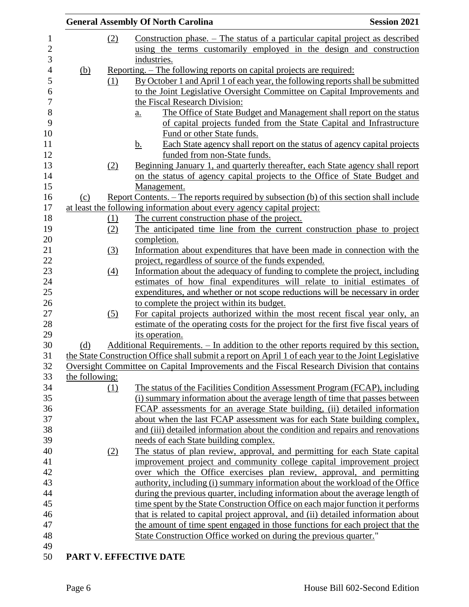|                |                  | <b>General Assembly Of North Carolina</b>                                                            | <b>Session 2021</b> |
|----------------|------------------|------------------------------------------------------------------------------------------------------|---------------------|
|                | (2)              | Construction phase. – The status of a particular capital project as described                        |                     |
|                |                  | using the terms customarily employed in the design and construction                                  |                     |
|                |                  | industries.                                                                                          |                     |
| <u>(b)</u>     |                  | <u>Reporting. – The following reports on capital projects are required:</u>                          |                     |
|                | (1)              | By October 1 and April 1 of each year, the following reports shall be submitted                      |                     |
|                |                  | to the Joint Legislative Oversight Committee on Capital Improvements and                             |                     |
|                |                  | the Fiscal Research Division:                                                                        |                     |
|                |                  | The Office of State Budget and Management shall report on the status<br>$\underline{a}$ .            |                     |
|                |                  | of capital projects funded from the State Capital and Infrastructure                                 |                     |
|                |                  | Fund or other State funds.                                                                           |                     |
|                |                  | Each State agency shall report on the status of agency capital projects<br><u>b.</u>                 |                     |
|                |                  | funded from non-State funds.                                                                         |                     |
|                | (2)              | Beginning January 1, and quarterly thereafter, each State agency shall report                        |                     |
|                |                  | on the status of agency capital projects to the Office of State Budget and                           |                     |
|                |                  | Management.                                                                                          |                     |
| (c)            |                  | Report Contents. – The reports required by subsection (b) of this section shall include              |                     |
|                |                  | at least the following information about every agency capital project:                               |                     |
|                | (1)              | The current construction phase of the project.                                                       |                     |
|                | (2)              | The anticipated time line from the current construction phase to project                             |                     |
|                |                  | completion.                                                                                          |                     |
|                | (3)              | Information about expenditures that have been made in connection with the                            |                     |
|                |                  | project, regardless of source of the funds expended.                                                 |                     |
|                | $\left(4\right)$ | Information about the adequacy of funding to complete the project, including                         |                     |
|                |                  | estimates of how final expenditures will relate to initial estimates of                              |                     |
|                |                  | expenditures, and whether or not scope reductions will be necessary in order                         |                     |
|                |                  | to complete the project within its budget.                                                           |                     |
|                | (5)              | For capital projects authorized within the most recent fiscal year only, an                          |                     |
|                |                  | estimate of the operating costs for the project for the first five fiscal years of                   |                     |
|                |                  | its operation.                                                                                       |                     |
| (d)            |                  | Additional Requirements. – In addition to the other reports required by this section,                |                     |
|                |                  | the State Construction Office shall submit a report on April 1 of each year to the Joint Legislative |                     |
|                |                  | Oversight Committee on Capital Improvements and the Fiscal Research Division that contains           |                     |
| the following: |                  |                                                                                                      |                     |
|                | (1)              | The status of the Facilities Condition Assessment Program (FCAP), including                          |                     |
|                |                  | (i) summary information about the average length of time that passes between                         |                     |
|                |                  | FCAP assessments for an average State building, (ii) detailed information                            |                     |
|                |                  | about when the last FCAP assessment was for each State building complex,                             |                     |
|                |                  | and (iii) detailed information about the condition and repairs and renovations                       |                     |
|                |                  | needs of each State building complex.                                                                |                     |
|                | (2)              | The status of plan review, approval, and permitting for each State capital                           |                     |
|                |                  | improvement project and community college capital improvement project                                |                     |
|                |                  | over which the Office exercises plan review, approval, and permitting                                |                     |
|                |                  | authority, including (i) summary information about the workload of the Office                        |                     |
|                |                  | during the previous quarter, including information about the average length of                       |                     |
|                |                  | time spent by the State Construction Office on each major function it performs                       |                     |
|                |                  | that is related to capital project approval, and (ii) detailed information about                     |                     |
|                |                  | the amount of time spent engaged in those functions for each project that the                        |                     |
|                |                  | State Construction Office worked on during the previous quarter."                                    |                     |
|                |                  |                                                                                                      |                     |
|                |                  | PART V. EFFECTIVE DATE                                                                               |                     |